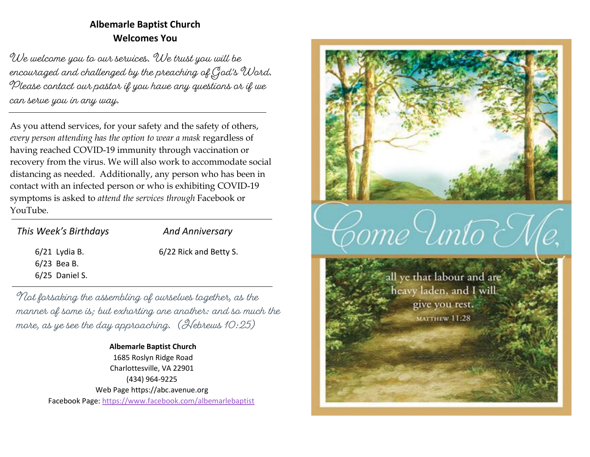# **Albemarle Baptist Church Welcomes You**

We welcome you to our services. We trust you will be encouraged and challenged by the preaching of God's Word. Please contact our pastor if you have any questions or if we can serve you in any way.

As you attend services, for your safety and the safety of others, *every person attending has the option to wear a mask* regardless of having reached COVID-19 immunity through vaccination or recovery from the virus. We will also work to accommodate social distancing as needed. Additionally, any person who has been in contact with an infected person or who is exhibiting COVID-19 symptoms is asked to *attend the services through* Facebook or YouTube.

| This Week's Birthdays | <b>And Anniversary</b> |
|-----------------------|------------------------|
| $6/21$ Lydia B.       | 6/22 Rick and Betty S. |
| $6/23$ Bea B.         |                        |
| $6/25$ Daniel S.      |                        |

Not forsaking the assembling of ourselves together, as the manner of some is; but exhorting one another: and so much the more, as ye see the day approaching. (Hebrews 10:25)

#### **Albemarle Baptist Church** 1685 Roslyn Ridge Road

Charlottesville, VA 22901 (434) 964-9225 Web Page [https://abc.avenue.org](https://abc.avenue.org/) Facebook Page:<https://www.facebook.com/albemarlebaptist>